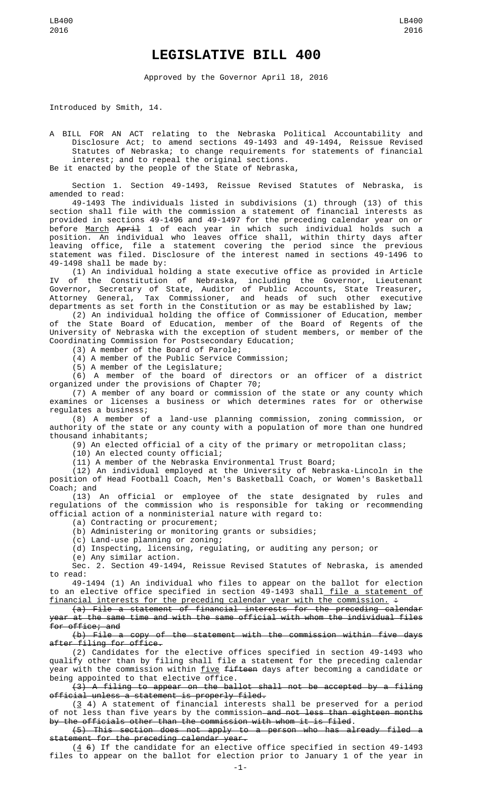## **LEGISLATIVE BILL 400**

Approved by the Governor April 18, 2016

Introduced by Smith, 14.

A BILL FOR AN ACT relating to the Nebraska Political Accountability and Disclosure Act; to amend sections 49-1493 and 49-1494, Reissue Revised Statutes of Nebraska; to change requirements for statements of financial interest; and to repeal the original sections.

Be it enacted by the people of the State of Nebraska,

Section 1. Section 49-1493, Reissue Revised Statutes of Nebraska, is amended to read:

49-1493 The individuals listed in subdivisions (1) through (13) of this section shall file with the commission a statement of financial interests as provided in sections 49-1496 and 49-1497 for the preceding calendar year on or before <u>March</u> A<del>pril</del> 1 of each year in which such individual holds such a position. An individual who leaves office shall, within thirty days after leaving office, file a statement covering the period since the previous statement was filed. Disclosure of the interest named in sections 49-1496 to 49-1498 shall be made by:

(1) An individual holding a state executive office as provided in Article IV of the Constitution of Nebraska, including the Governor, Lieutenant Governor, Secretary of State, Auditor of Public Accounts, State Treasurer, Attorney General, Tax Commissioner, and heads of such other executive departments as set forth in the Constitution or as may be established by law;

(2) An individual holding the office of Commissioner of Education, member of the State Board of Education, member of the Board of Regents of the University of Nebraska with the exception of student members, or member of the Coordinating Commission for Postsecondary Education;

(3) A member of the Board of Parole;

(4) A member of the Public Service Commission;

(5) A member of the Legislature;

(6) A member of the board of directors or an officer of a district organized under the provisions of Chapter 70;

(7) A member of any board or commission of the state or any county which examines or licenses a business or which determines rates for or otherwise regulates a business;

(8) A member of a land-use planning commission, zoning commission, or authority of the state or any county with a population of more than one hundred thousand inhabitants;

(9) An elected official of a city of the primary or metropolitan class;

(10) An elected county official;

(11) A member of the Nebraska Environmental Trust Board;

(12) An individual employed at the University of Nebraska-Lincoln in the position of Head Football Coach, Men's Basketball Coach, or Women's Basketball Coach; and

(13) An official or employee of the state designated by rules and regulations of the commission who is responsible for taking or recommending official action of a nonministerial nature with regard to:

(a) Contracting or procurement;

(b) Administering or monitoring grants or subsidies;

(c) Land-use planning or zoning;

(d) Inspecting, licensing, regulating, or auditing any person; or

(e) Any similar action.

Sec. 2. Section 49-1494, Reissue Revised Statutes of Nebraska, is amended to read:

49-1494 (1) An individual who files to appear on the ballot for election to an elective office specified in section 49-1493 shall file a statement of financial interests for the preceding calendar year with the commission.  $\div$ 

(a) File a statement of financial interests for the preceding calendar year at the same time and with the same official with whom the individual files for office; and

(b) File a copy of the statement with the commission within five days after filing for office.

(2) Candidates for the elective offices specified in section 49-1493 who qualify other than by filing shall file a statement for the preceding calendar year with the commission within five fifteen days after becoming a candidate or being appointed to that elective office.

(3) A filing to appear on the ballot shall not be accepted by a filing official unless a statement is properly filed.

 $(3 4)$  A statement of financial interests shall be preserved for a period of not less than five years by the commission—<del>and not less than eighteen months</del> by the officials other than the commission with whom it is filed.

(5) This section does not apply to a person who has already filed a statement for the preceding calendar year.

 $(4, 6)$  If the candidate for an elective office specified in section 49-1493 files to appear on the ballot for election prior to January 1 of the year in